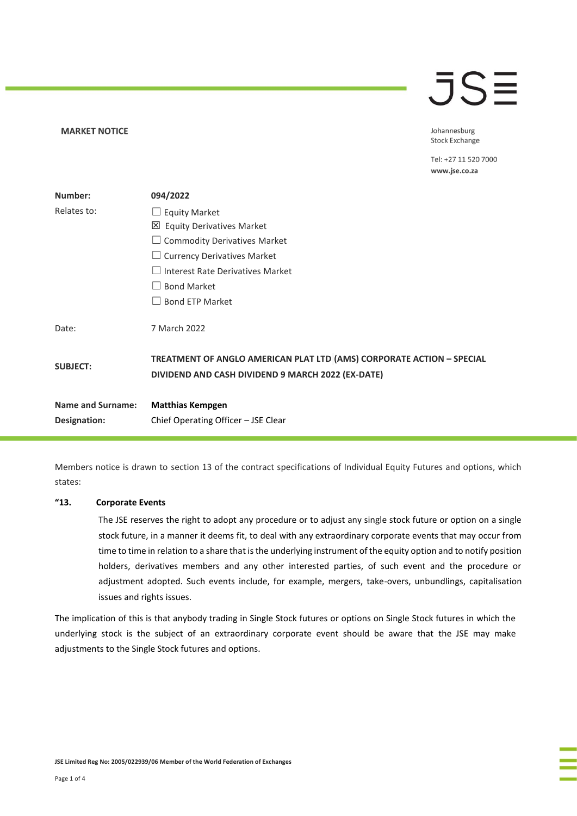# $\overline{\mathsf{J}}\mathsf{S}\mathsf{\Xi}$

**MARKET NOTICE** 

Johannesburg **Stock Exchange** 

Tel: +27 11 520 7000 www.jse.co.za

| Number:                  | 094/2022                                                                                                                   |  |
|--------------------------|----------------------------------------------------------------------------------------------------------------------------|--|
| Relates to:              | $\Box$ Equity Market                                                                                                       |  |
|                          | 凶 Equity Derivatives Market                                                                                                |  |
|                          | <b>Commodity Derivatives Market</b>                                                                                        |  |
|                          | $\Box$ Currency Derivatives Market                                                                                         |  |
|                          | <b>Interest Rate Derivatives Market</b>                                                                                    |  |
|                          | <b>Bond Market</b>                                                                                                         |  |
|                          | <b>Bond ETP Market</b>                                                                                                     |  |
| Date:                    | 7 March 2022                                                                                                               |  |
| <b>SUBJECT:</b>          | TREATMENT OF ANGLO AMERICAN PLAT LTD (AMS) CORPORATE ACTION - SPECIAL<br>DIVIDEND AND CASH DIVIDEND 9 MARCH 2022 (EX-DATE) |  |
| <b>Name and Surname:</b> | <b>Matthias Kempgen</b>                                                                                                    |  |
| Designation:             | Chief Operating Officer - JSE Clear                                                                                        |  |

Members notice is drawn to section 13 of the contract specifications of Individual Equity Futures and options, which states:

#### **"13. Corporate Events**

The JSE reserves the right to adopt any procedure or to adjust any single stock future or option on a single stock future, in a manner it deems fit, to deal with any extraordinary corporate events that may occur from time to time in relation to a share that is the underlying instrument of the equity option and to notify position holders, derivatives members and any other interested parties, of such event and the procedure or adjustment adopted. Such events include, for example, mergers, take-overs, unbundlings, capitalisation issues and rights issues.

The implication of this is that anybody trading in Single Stock futures or options on Single Stock futures in which the underlying stock is the subject of an extraordinary corporate event should be aware that the JSE may make adjustments to the Single Stock futures and options.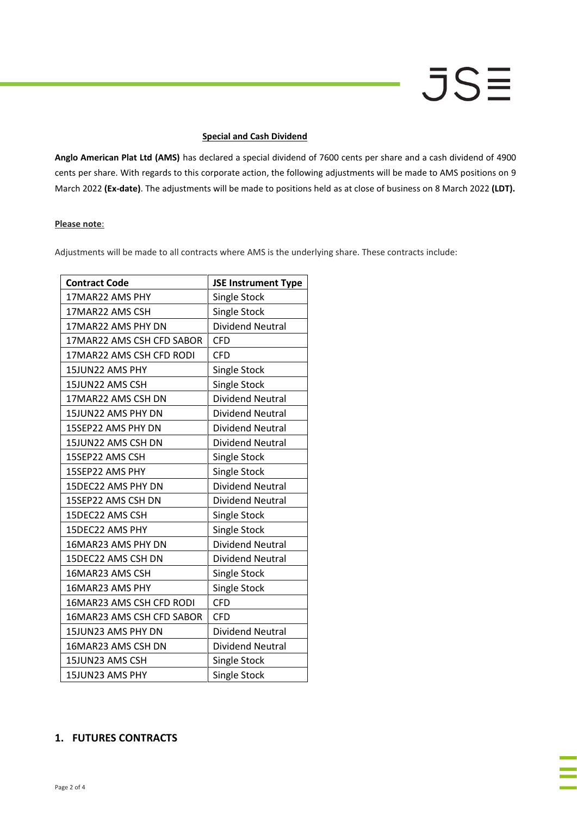# **JSE**

### **Special and Cash Dividend**

**Anglo American Plat Ltd (AMS)** has declared a special dividend of 7600 cents per share and a cash dividend of 4900 cents per share. With regards to this corporate action, the following adjustments will be made to AMS positions on 9 March 2022 **(Ex-date)**. The adjustments will be made to positions held as at close of business on 8 March 2022 **(LDT).**

### **Please note**:

Adjustments will be made to all contracts where AMS is the underlying share. These contracts include:

| <b>Contract Code</b>      | <b>JSE Instrument Type</b> |
|---------------------------|----------------------------|
| 17MAR22 AMS PHY           | Single Stock               |
| 17MAR22 AMS CSH           | <b>Single Stock</b>        |
| 17MAR22 AMS PHY DN        | <b>Dividend Neutral</b>    |
| 17MAR22 AMS CSH CFD SABOR | <b>CFD</b>                 |
| 17MAR22 AMS CSH CFD RODI  | <b>CFD</b>                 |
| 15JUN22 AMS PHY           | Single Stock               |
| 15JUN22 AMS CSH           | <b>Single Stock</b>        |
| 17MAR22 AMS CSH DN        | <b>Dividend Neutral</b>    |
| 15JUN22 AMS PHY DN        | <b>Dividend Neutral</b>    |
| 15SEP22 AMS PHY DN        | Dividend Neutral           |
| 15JUN22 AMS CSH DN        | Dividend Neutral           |
| 15SEP22 AMS CSH           | Single Stock               |
| 15SEP22 AMS PHY           | Single Stock               |
| 15DEC22 AMS PHY DN        | <b>Dividend Neutral</b>    |
| 15SEP22 AMS CSH DN        | <b>Dividend Neutral</b>    |
| 15DEC22 AMS CSH           | Single Stock               |
| 15DEC22 AMS PHY           | <b>Single Stock</b>        |
| 16MAR23 AMS PHY DN        | <b>Dividend Neutral</b>    |
| 15DEC22 AMS CSH DN        | <b>Dividend Neutral</b>    |
| 16MAR23 AMS CSH           | Single Stock               |
| 16MAR23 AMS PHY           | Single Stock               |
| 16MAR23 AMS CSH CFD RODI  | <b>CFD</b>                 |
| 16MAR23 AMS CSH CFD SABOR | <b>CFD</b>                 |
| 15JUN23 AMS PHY DN        | <b>Dividend Neutral</b>    |
| 16MAR23 AMS CSH DN        | <b>Dividend Neutral</b>    |
| 15JUN23 AMS CSH           | <b>Single Stock</b>        |
| 15JUN23 AMS PHY           | Single Stock               |

# **1. FUTURES CONTRACTS**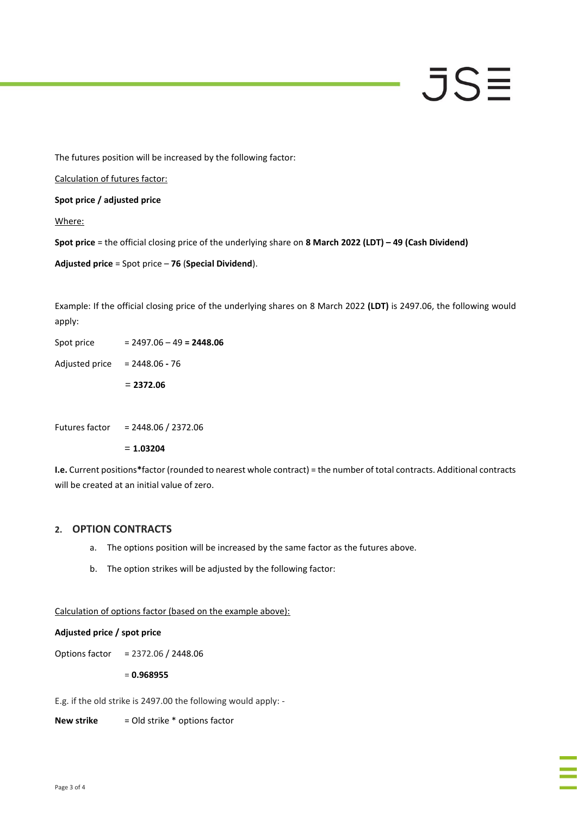# JSE

The futures position will be increased by the following factor:

Calculation of futures factor:

**Spot price / adjusted price**

Where:

**Spot price** = the official closing price of the underlying share on **8 March 2022 (LDT) – 49 (Cash Dividend)**

**Adjusted price** = Spot price – **76** (**Special Dividend**).

Example: If the official closing price of the underlying shares on 8 March 2022 **(LDT)** is 2497.06, the following would apply:

|                | $= 2372.06$                |
|----------------|----------------------------|
| Adjusted price | $= 2448.06 - 76$           |
| Spot price     | $= 2497.06 - 49 = 2448.06$ |

Futures factor = 2448.06 / 2372.06

= **1.03204**

**I.e.** Current positions**\***factor (rounded to nearest whole contract) = the number of total contracts. Additional contracts will be created at an initial value of zero.

# **2. OPTION CONTRACTS**

- a. The options position will be increased by the same factor as the futures above.
- b. The option strikes will be adjusted by the following factor:

Calculation of options factor (based on the example above):

#### **Adjusted price / spot price**

Options factor = 2372.06 / 2448.06

= **0.968955**

E.g. if the old strike is 2497.00 the following would apply: -

**New strike** = Old strike \* options factor